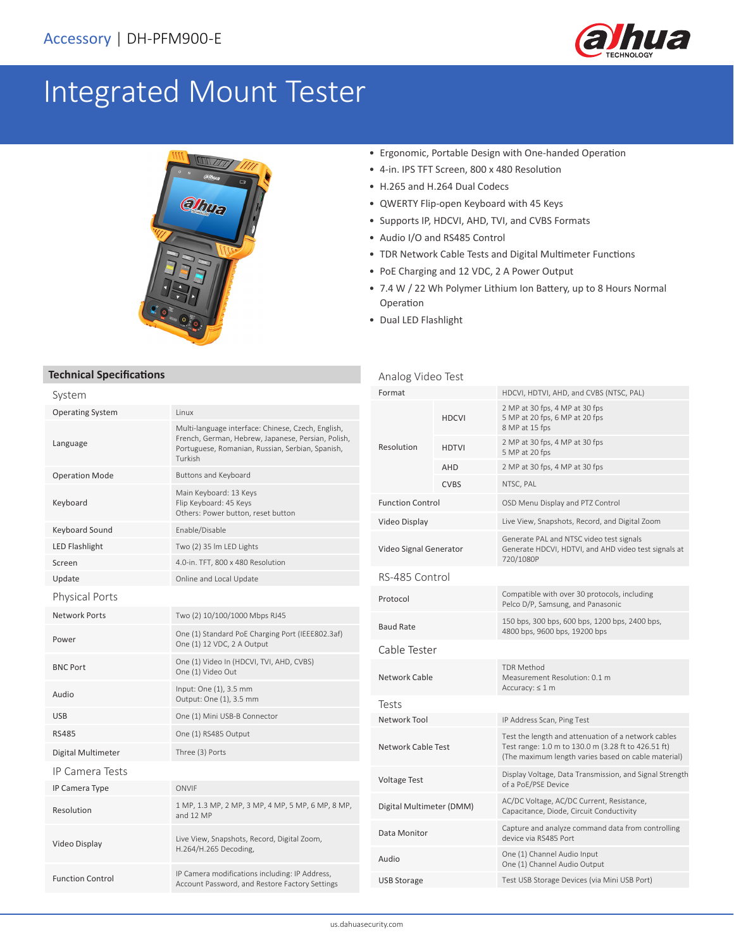

# Integrated Mount Tester



#### • Ergonomic, Portable Design with One-handed Operation

- 4-in. IPS TFT Screen, 800 x 480 Resolution
- H.265 and H.264 Dual Codecs
- QWERTY Flip-open Keyboard with 45 Keys
- Supports IP, HDCVI, AHD, TVI, and CVBS Formats
- Audio I/O and RS485 Control
- TDR Network Cable Tests and Digital Multimeter Functions
- PoE Charging and 12 VDC, 2 A Power Output
- 7.4 W / 22 Wh Polymer Lithium Ion Battery, up to 8 Hours Normal Operation
- Dual LED Flashlight

### **Technical Specifications**

## System

| ------                  |                                                                                                                                                                         |  |
|-------------------------|-------------------------------------------------------------------------------------------------------------------------------------------------------------------------|--|
| <b>Operating System</b> | Linux                                                                                                                                                                   |  |
| Language                | Multi-language interface: Chinese, Czech, English,<br>French, German, Hebrew, Japanese, Persian, Polish,<br>Portuguese, Romanian, Russian, Serbian, Spanish,<br>Turkish |  |
| <b>Operation Mode</b>   | Buttons and Keyboard                                                                                                                                                    |  |
| Keyboard                | Main Keyboard: 13 Keys<br>Flip Keyboard: 45 Keys<br>Others: Power button, reset button                                                                                  |  |
| Keyboard Sound          | Enable/Disable                                                                                                                                                          |  |
| <b>LED Flashlight</b>   | Two (2) 35 Im LED Lights                                                                                                                                                |  |
| Screen                  | 4.0-in. TFT, 800 x 480 Resolution                                                                                                                                       |  |
| Update                  | Online and Local Update                                                                                                                                                 |  |
| <b>Physical Ports</b>   |                                                                                                                                                                         |  |
| <b>Network Ports</b>    | Two (2) 10/100/1000 Mbps RJ45                                                                                                                                           |  |
| Power                   | One (1) Standard PoE Charging Port (IEEE802.3af)<br>One (1) 12 VDC, 2 A Output                                                                                          |  |
| <b>BNC Port</b>         | One (1) Video In (HDCVI, TVI, AHD, CVBS)<br>One (1) Video Out                                                                                                           |  |
| Audio                   | Input: One (1), 3.5 mm<br>Output: One (1), 3.5 mm                                                                                                                       |  |
| <b>USB</b>              | One (1) Mini USB-B Connector                                                                                                                                            |  |
| <b>RS485</b>            | One (1) RS485 Output                                                                                                                                                    |  |
| Digital Multimeter      | Three (3) Ports                                                                                                                                                         |  |
| <b>IP Camera Tests</b>  |                                                                                                                                                                         |  |
| IP Camera Type          | ONVIF                                                                                                                                                                   |  |
| Resolution              | 1 MP, 1.3 MP, 2 MP, 3 MP, 4 MP, 5 MP, 6 MP, 8 MP,<br>and 12 MP                                                                                                          |  |
| Video Display           | Live View, Snapshots, Record, Digital Zoom,<br>H.264/H.265 Decoding,                                                                                                    |  |
| <b>Function Control</b> | IP Camera modifications including: IP Address,<br>Account Password, and Restore Factory Settings                                                                        |  |

| Analog Video Test         |              |                                                                                                                                                                   |  |  |
|---------------------------|--------------|-------------------------------------------------------------------------------------------------------------------------------------------------------------------|--|--|
| Format                    |              | HDCVI, HDTVI, AHD, and CVBS (NTSC, PAL)                                                                                                                           |  |  |
| Resolution                | <b>HDCVI</b> | 2 MP at 30 fps, 4 MP at 30 fps<br>5 MP at 20 fps, 6 MP at 20 fps<br>8 MP at 15 fps                                                                                |  |  |
|                           | <b>HDTVI</b> | 2 MP at 30 fps, 4 MP at 30 fps<br>5 MP at 20 fps                                                                                                                  |  |  |
|                           | AHD          | 2 MP at 30 fps, 4 MP at 30 fps                                                                                                                                    |  |  |
|                           | <b>CVBS</b>  | NTSC, PAL                                                                                                                                                         |  |  |
| <b>Function Control</b>   |              | OSD Menu Display and PTZ Control                                                                                                                                  |  |  |
| Video Display             |              | Live View, Snapshots, Record, and Digital Zoom                                                                                                                    |  |  |
| Video Signal Generator    |              | Generate PAL and NTSC video test signals<br>Generate HDCVI, HDTVI, and AHD video test signals at<br>720/1080P                                                     |  |  |
| RS-485 Control            |              |                                                                                                                                                                   |  |  |
| Protocol                  |              | Compatible with over 30 protocols, including<br>Pelco D/P, Samsung, and Panasonic                                                                                 |  |  |
| <b>Baud Rate</b>          |              | 150 bps, 300 bps, 600 bps, 1200 bps, 2400 bps,<br>4800 bps, 9600 bps, 19200 bps                                                                                   |  |  |
| Cable Tester              |              |                                                                                                                                                                   |  |  |
| Network Cable             |              | <b>TDR Method</b><br>Measurement Resolution: 0.1 m<br>Accuracy: $\leq 1$ m                                                                                        |  |  |
| Tests                     |              |                                                                                                                                                                   |  |  |
| Network Tool              |              | IP Address Scan, Ping Test                                                                                                                                        |  |  |
| <b>Network Cable Test</b> |              | Test the length and attenuation of a network cables<br>Test range: 1.0 m to 130.0 m (3.28 ft to 426.51 ft)<br>(The maximum length varies based on cable material) |  |  |
| <b>Voltage Test</b>       |              | Display Voltage, Data Transmission, and Signal Strength<br>of a PoE/PSE Device                                                                                    |  |  |
| Digital Multimeter (DMM)  |              | AC/DC Voltage, AC/DC Current, Resistance,<br>Capacitance, Diode, Circuit Conductivity                                                                             |  |  |
| Data Monitor              |              | Capture and analyze command data from controlling<br>device via RS485 Port                                                                                        |  |  |
| Audio                     |              | One (1) Channel Audio Input<br>One (1) Channel Audio Output                                                                                                       |  |  |
| <b>USB Storage</b>        |              | Test USB Storage Devices (via Mini USB Port)                                                                                                                      |  |  |